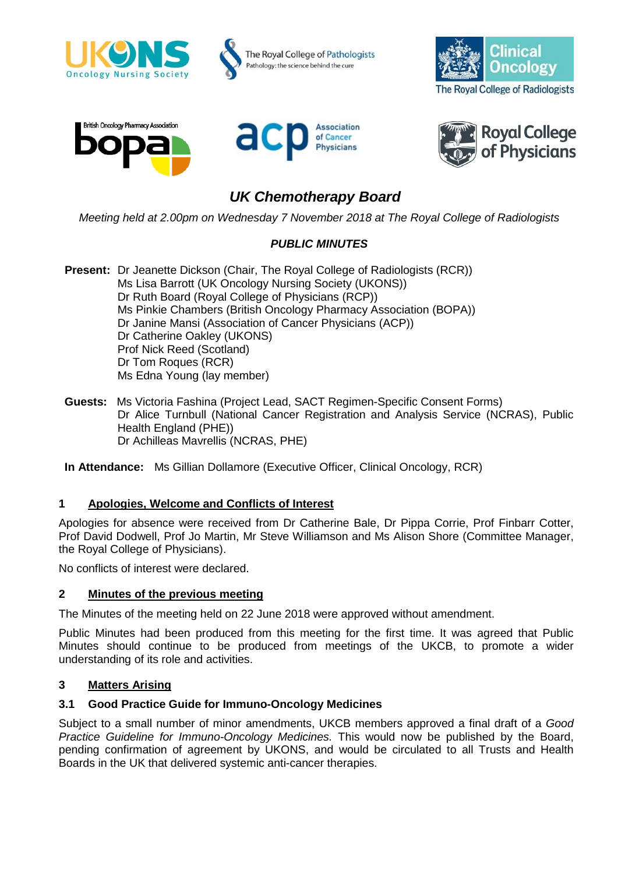

# *UK Chemotherapy Board*

*Meeting held at 2.00pm on Wednesday 7 November 2018 at The Royal College of Radiologists*

# *PUBLIC MINUTES*

**Present:** Dr Jeanette Dickson (Chair, The Royal College of Radiologists (RCR)) Ms Lisa Barrott (UK Oncology Nursing Society (UKONS)) Dr Ruth Board (Royal College of Physicians (RCP)) Ms Pinkie Chambers (British Oncology Pharmacy Association (BOPA)) Dr Janine Mansi (Association of Cancer Physicians (ACP)) Dr Catherine Oakley (UKONS) Prof Nick Reed (Scotland) Dr Tom Roques (RCR) Ms Edna Young (lay member)

**Guests:** Ms Victoria Fashina (Project Lead, SACT Regimen-Specific Consent Forms) Dr Alice Turnbull (National Cancer Registration and Analysis Service (NCRAS), Public Health England (PHE)) Dr Achilleas Mavrellis (NCRAS, PHE)

**In Attendance:** Ms Gillian Dollamore (Executive Officer, Clinical Oncology, RCR)

### **1 Apologies, Welcome and Conflicts of Interest**

Apologies for absence were received from Dr Catherine Bale, Dr Pippa Corrie, Prof Finbarr Cotter, Prof David Dodwell, Prof Jo Martin, Mr Steve Williamson and Ms Alison Shore (Committee Manager, the Royal College of Physicians).

No conflicts of interest were declared.

### **2 Minutes of the previous meeting**

The Minutes of the meeting held on 22 June 2018 were approved without amendment.

Public Minutes had been produced from this meeting for the first time. It was agreed that Public Minutes should continue to be produced from meetings of the UKCB, to promote a wider understanding of its role and activities.

### **3 Matters Arising**

### **3.1 Good Practice Guide for Immuno-Oncology Medicines**

Subject to a small number of minor amendments, UKCB members approved a final draft of a *Good Practice Guideline for Immuno-Oncology Medicines.* This would now be published by the Board, pending confirmation of agreement by UKONS, and would be circulated to all Trusts and Health Boards in the UK that delivered systemic anti-cancer therapies.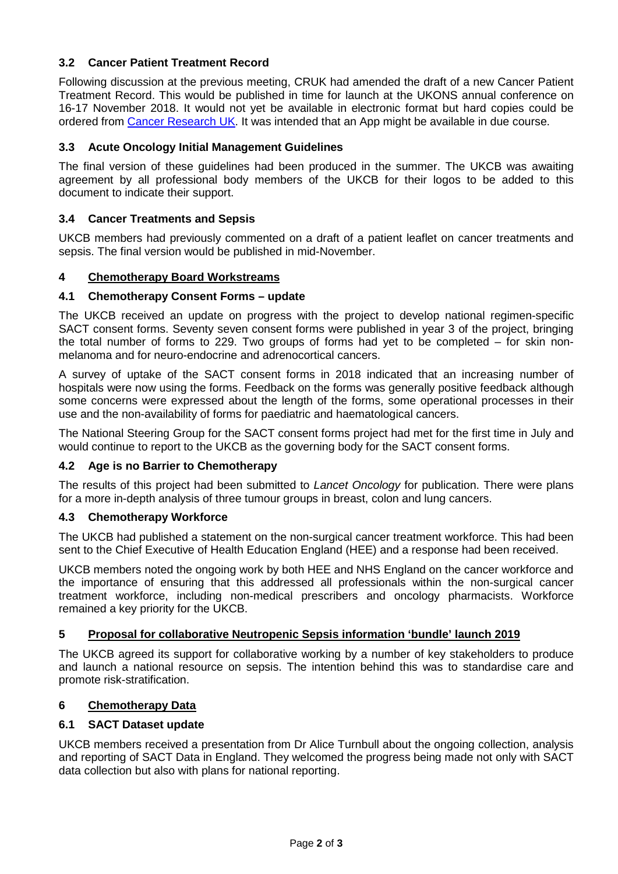# **3.2 Cancer Patient Treatment Record**

Following discussion at the previous meeting, CRUK had amended the draft of a new Cancer Patient Treatment Record. This would be published in time for launch at the UKONS annual conference on 16-17 November 2018. It would not yet be available in electronic format but hard copies could be ordered from [Cancer Research UK.](https://publications.cancerresearchuk.org/publication/your-cancer-treatment-record) It was intended that an App might be available in due course.

### **3.3 Acute Oncology Initial Management Guidelines**

The final version of these guidelines had been produced in the summer. The UKCB was awaiting agreement by all professional body members of the UKCB for their logos to be added to this document to indicate their support.

### **3.4 Cancer Treatments and Sepsis**

UKCB members had previously commented on a draft of a patient leaflet on cancer treatments and sepsis. The final version would be published in mid-November.

### **4 Chemotherapy Board Workstreams**

#### **4.1 Chemotherapy Consent Forms – update**

The UKCB received an update on progress with the project to develop national regimen-specific SACT consent forms. Seventy seven consent forms were published in year 3 of the project, bringing the total number of forms to 229. Two groups of forms had yet to be completed – for skin nonmelanoma and for neuro-endocrine and adrenocortical cancers.

A survey of uptake of the SACT consent forms in 2018 indicated that an increasing number of hospitals were now using the forms. Feedback on the forms was generally positive feedback although some concerns were expressed about the length of the forms, some operational processes in their use and the non-availability of forms for paediatric and haematological cancers.

The National Steering Group for the SACT consent forms project had met for the first time in July and would continue to report to the UKCB as the governing body for the SACT consent forms.

#### **4.2 Age is no Barrier to Chemotherapy**

The results of this project had been submitted to *Lancet Oncology* for publication. There were plans for a more in-depth analysis of three tumour groups in breast, colon and lung cancers.

#### **4.3 Chemotherapy Workforce**

The UKCB had published a statement on the non-surgical cancer treatment workforce. This had been sent to the Chief Executive of Health Education England (HEE) and a response had been received.

UKCB members noted the ongoing work by both HEE and NHS England on the cancer workforce and the importance of ensuring that this addressed all professionals within the non-surgical cancer treatment workforce, including non-medical prescribers and oncology pharmacists. Workforce remained a key priority for the UKCB.

### **5 Proposal for collaborative Neutropenic Sepsis information 'bundle' launch 2019**

The UKCB agreed its support for collaborative working by a number of key stakeholders to produce and launch a national resource on sepsis. The intention behind this was to standardise care and promote risk-stratification.

## **6 Chemotherapy Data**

#### **6.1 SACT Dataset update**

UKCB members received a presentation from Dr Alice Turnbull about the ongoing collection, analysis and reporting of SACT Data in England. They welcomed the progress being made not only with SACT data collection but also with plans for national reporting.